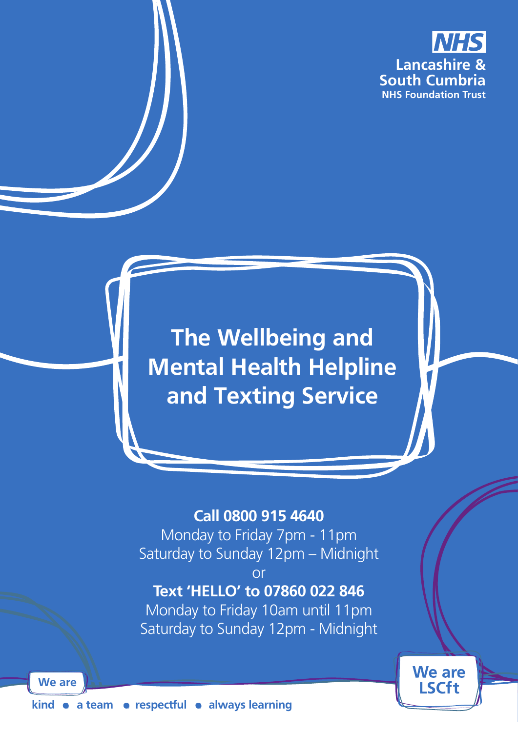

**We are LSCft** 

**The Wellbeing and Mental Health Helpline and Texting Service**

## **Call 0800 915 4640**

Monday to Friday 7pm - 11pm Saturday to Sunday 12pm – Midnight

or

# **Text 'HELLO' to 07860 022 846**

Monday to Friday 10am until 11pm Saturday to Sunday 12pm - Midnight

kind • a team • respectful • always learning

**We are**